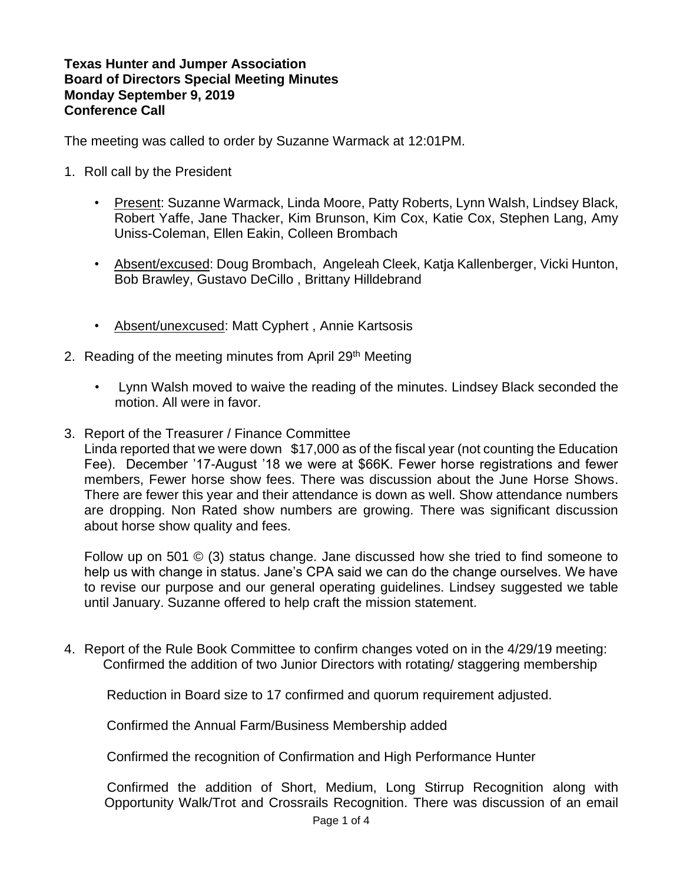## **Texas Hunter and Jumper Association Board of Directors Special Meeting Minutes Monday September 9, 2019 Conference Call**

The meeting was called to order by Suzanne Warmack at 12:01PM.

- 1. Roll call by the President
	- Present: Suzanne Warmack, Linda Moore, Patty Roberts, Lynn Walsh, Lindsey Black, Robert Yaffe, Jane Thacker, Kim Brunson, Kim Cox, Katie Cox, Stephen Lang, Amy Uniss-Coleman, Ellen Eakin, Colleen Brombach
	- Absent/excused: Doug Brombach, Angeleah Cleek, Katja Kallenberger, Vicki Hunton, Bob Brawley, Gustavo DeCillo , Brittany Hilldebrand
	- Absent/unexcused: Matt Cyphert , Annie Kartsosis
- 2. Reading of the meeting minutes from April 29<sup>th</sup> Meeting
	- Lynn Walsh moved to waive the reading of the minutes. Lindsey Black seconded the motion. All were in favor.
- 3. Report of the Treasurer / Finance Committee

Linda reported that we were down \$17,000 as of the fiscal year (not counting the Education Fee). December '17-August '18 we were at \$66K. Fewer horse registrations and fewer members, Fewer horse show fees. There was discussion about the June Horse Shows. There are fewer this year and their attendance is down as well. Show attendance numbers are dropping. Non Rated show numbers are growing. There was significant discussion about horse show quality and fees.

Follow up on 501 © (3) status change. Jane discussed how she tried to find someone to help us with change in status. Jane's CPA said we can do the change ourselves. We have to revise our purpose and our general operating guidelines. Lindsey suggested we table until January. Suzanne offered to help craft the mission statement.

4. Report of the Rule Book Committee to confirm changes voted on in the 4/29/19 meeting: Confirmed the addition of two Junior Directors with rotating/ staggering membership

Reduction in Board size to 17 confirmed and quorum requirement adjusted.

Confirmed the Annual Farm/Business Membership added

Confirmed the recognition of Confirmation and High Performance Hunter

Confirmed the addition of Short, Medium, Long Stirrup Recognition along with Opportunity Walk/Trot and Crossrails Recognition. There was discussion of an email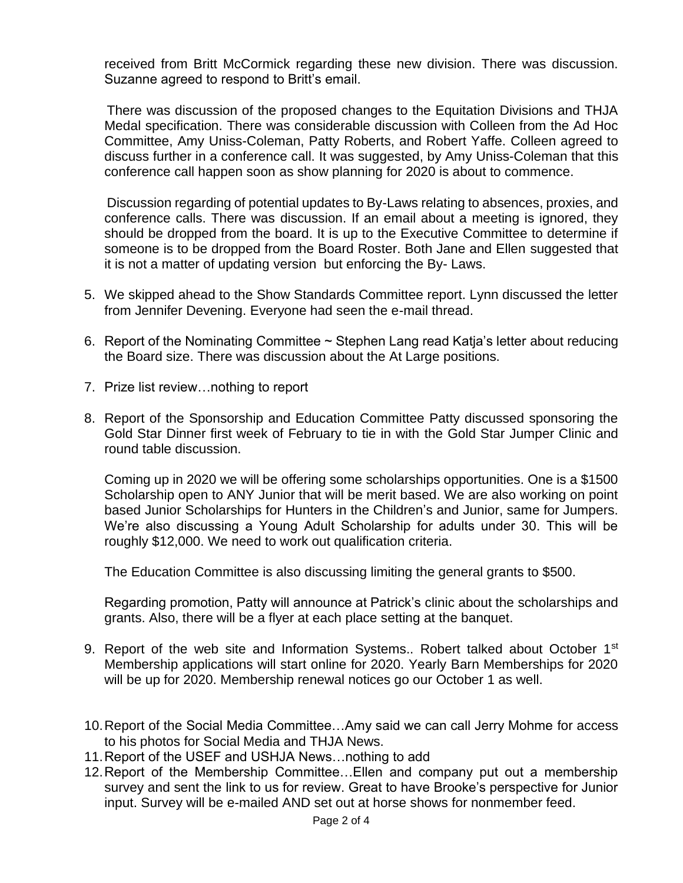received from Britt McCormick regarding these new division. There was discussion. Suzanne agreed to respond to Britt's email.

There was discussion of the proposed changes to the Equitation Divisions and THJA Medal specification. There was considerable discussion with Colleen from the Ad Hoc Committee, Amy Uniss-Coleman, Patty Roberts, and Robert Yaffe. Colleen agreed to discuss further in a conference call. It was suggested, by Amy Uniss-Coleman that this conference call happen soon as show planning for 2020 is about to commence.

Discussion regarding of potential updates to By-Laws relating to absences, proxies, and conference calls. There was discussion. If an email about a meeting is ignored, they should be dropped from the board. It is up to the Executive Committee to determine if someone is to be dropped from the Board Roster. Both Jane and Ellen suggested that it is not a matter of updating version but enforcing the By- Laws.

- 5. We skipped ahead to the Show Standards Committee report. Lynn discussed the letter from Jennifer Devening. Everyone had seen the e-mail thread.
- 6. Report of the Nominating Committee ~ Stephen Lang read Katja's letter about reducing the Board size. There was discussion about the At Large positions.
- 7. Prize list review…nothing to report
- 8. Report of the Sponsorship and Education Committee Patty discussed sponsoring the Gold Star Dinner first week of February to tie in with the Gold Star Jumper Clinic and round table discussion.

Coming up in 2020 we will be offering some scholarships opportunities. One is a \$1500 Scholarship open to ANY Junior that will be merit based. We are also working on point based Junior Scholarships for Hunters in the Children's and Junior, same for Jumpers. We're also discussing a Young Adult Scholarship for adults under 30. This will be roughly \$12,000. We need to work out qualification criteria.

The Education Committee is also discussing limiting the general grants to \$500.

Regarding promotion, Patty will announce at Patrick's clinic about the scholarships and grants. Also, there will be a flyer at each place setting at the banquet.

- 9. Report of the web site and Information Systems.. Robert talked about October  $1<sup>st</sup>$ Membership applications will start online for 2020. Yearly Barn Memberships for 2020 will be up for 2020. Membership renewal notices go our October 1 as well.
- 10.Report of the Social Media Committee…Amy said we can call Jerry Mohme for access to his photos for Social Media and THJA News.
- 11.Report of the USEF and USHJA News…nothing to add
- 12.Report of the Membership Committee…Ellen and company put out a membership survey and sent the link to us for review. Great to have Brooke's perspective for Junior input. Survey will be e-mailed AND set out at horse shows for nonmember feed.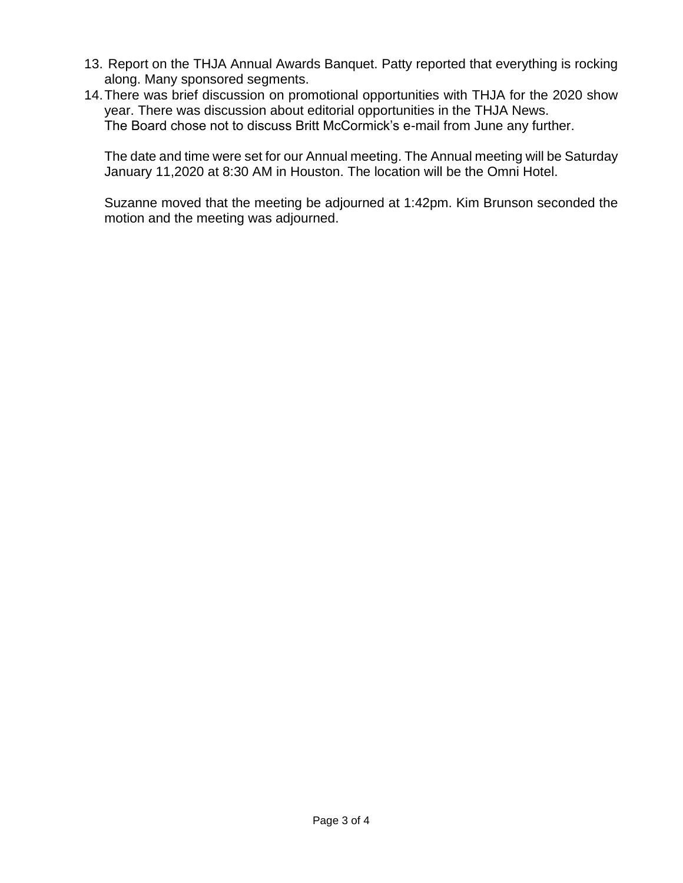- 13. Report on the THJA Annual Awards Banquet. Patty reported that everything is rocking along. Many sponsored segments.
- 14.There was brief discussion on promotional opportunities with THJA for the 2020 show year. There was discussion about editorial opportunities in the THJA News. The Board chose not to discuss Britt McCormick's e-mail from June any further.

The date and time were set for our Annual meeting. The Annual meeting will be Saturday January 11,2020 at 8:30 AM in Houston. The location will be the Omni Hotel.

Suzanne moved that the meeting be adjourned at 1:42pm. Kim Brunson seconded the motion and the meeting was adjourned.